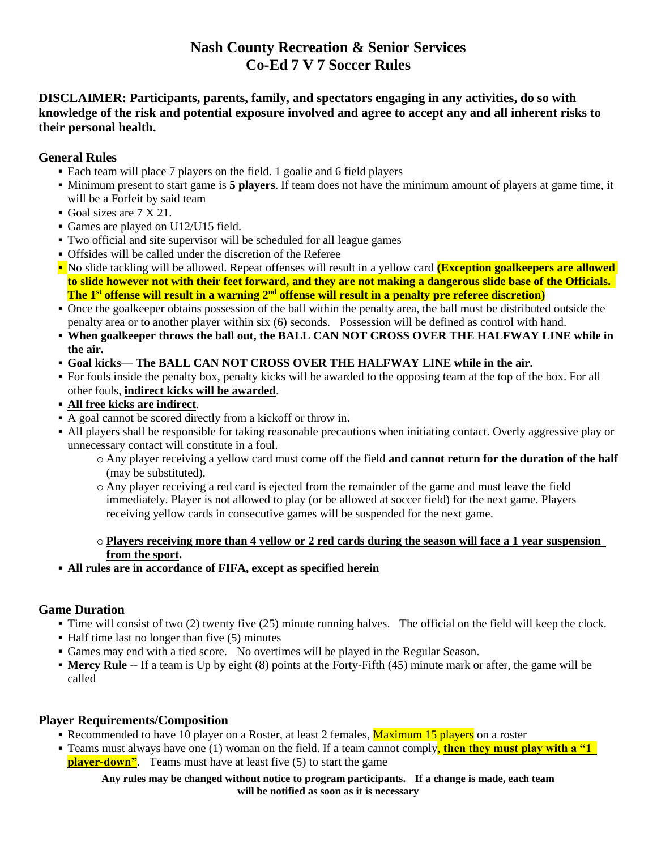# **Nash County Recreation & Senior Services Co-Ed 7 V 7 Soccer Rules**

**DISCLAIMER: Participants, parents, family, and spectators engaging in any activities, do so with knowledge of the risk and potential exposure involved and agree to accept any and all inherent risks to their personal health.** 

## **General Rules**

- Each team will place 7 players on the field. 1 goalie and 6 field players
- Minimum present to start game is **5 players**. If team does not have the minimum amount of players at game time, it will be a Forfeit by said team
- Goal sizes are 7 X 21.
- Games are played on U12/U15 field.
- Two official and site supervisor will be scheduled for all league games
- Offsides will be called under the discretion of the Referee
- No slide tackling will be allowed. Repeat offenses will result in a yellow card **(Exception goalkeepers are allowed to slide however not with their feet forward, and they are not making a dangerous slide base of the Officials. The 1 st offense will result in a warning 2nd offense will result in a penalty pre referee discretion)**
- Once the goalkeeper obtains possession of the ball within the penalty area, the ball must be distributed outside the penalty area or to another player within six (6) seconds. Possession will be defined as control with hand.
- **When goalkeeper throws the ball out, the BALL CAN NOT CROSS OVER THE HALFWAY LINE while in the air.**
- **Goal kicks— The BALL CAN NOT CROSS OVER THE HALFWAY LINE while in the air.**
- For fouls inside the penalty box, penalty kicks will be awarded to the opposing team at the top of the box. For all other fouls, **indirect kicks will be awarded**.
- **All free kicks are indirect**.
- A goal cannot be scored directly from a kickoff or throw in.
- All players shall be responsible for taking reasonable precautions when initiating contact. Overly aggressive play or unnecessary contact will constitute in a foul.
	- o Any player receiving a yellow card must come off the field **and cannot return for the duration of the half** (may be substituted).
	- o Any player receiving a red card is ejected from the remainder of the game and must leave the field immediately. Player is not allowed to play (or be allowed at soccer field) for the next game. Players receiving yellow cards in consecutive games will be suspended for the next game.

## o **Players receiving more than 4 yellow or 2 red cards during the season will face a 1 year suspension from the sport.**

▪ **All rules are in accordance of FIFA, except as specified herein** 

## **Game Duration**

- Time will consist of two (2) twenty five (25) minute running halves. The official on the field will keep the clock.
- $\blacksquare$  Half time last no longer than five (5) minutes
- Games may end with a tied score. No overtimes will be played in the Regular Season.
- **Mercy Rule** -- If a team is Up by eight (8) points at the Forty-Fifth (45) minute mark or after, the game will be called

## **Player Requirements/Composition**

- **EXECOMMENDER** Recommended to have 10 player on a Roster, at least 2 females, Maximum 15 players on a roster
- Teams must always have one (1) woman on the field. If a team cannot comply, **then they must play with a "1 player-down"**. Teams must have at least five (5) to start the game

**Any rules may be changed without notice to program participants. If a change is made, each team will be notified as soon as it is necessary**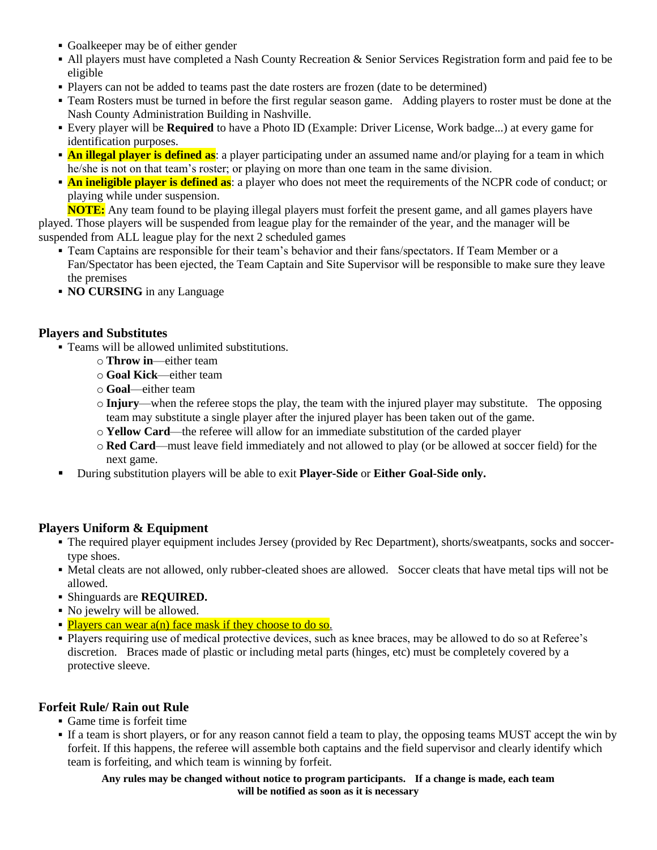- Goalkeeper may be of either gender
- All players must have completed a Nash County Recreation & Senior Services Registration form and paid fee to be eligible
- Players can not be added to teams past the date rosters are frozen (date to be determined)
- Team Rosters must be turned in before the first regular season game. Adding players to roster must be done at the Nash County Administration Building in Nashville.
- Every player will be **Required** to have a Photo ID (Example: Driver License, Work badge...) at every game for identification purposes.
- **An illegal player is defined as**: a player participating under an assumed name and/or playing for a team in which he/she is not on that team's roster; or playing on more than one team in the same division.
- **An ineligible player is defined as**: a player who does not meet the requirements of the NCPR code of conduct; or playing while under suspension.

**NOTE:** Any team found to be playing illegal players must forfeit the present game, and all games players have played. Those players will be suspended from league play for the remainder of the year, and the manager will be suspended from ALL league play for the next 2 scheduled games

- Team Captains are responsible for their team's behavior and their fans/spectators. If Team Member or a Fan/Spectator has been ejected, the Team Captain and Site Supervisor will be responsible to make sure they leave the premises
- **NO CURSING** in any Language

## **Players and Substitutes**

- Teams will be allowed unlimited substitutions.
	- o **Throw in**—either team
	- o **Goal Kick**—either team
	- o **Goal**—either team
	- $\circ$  **Injury**—when the referee stops the play, the team with the injured player may substitute. The opposing team may substitute a single player after the injured player has been taken out of the game.
	- o **Yellow Card**—the referee will allow for an immediate substitution of the carded player
	- o **Red Card**—must leave field immediately and not allowed to play (or be allowed at soccer field) for the next game.
- During substitution players will be able to exit **Player-Side** or **Either Goal-Side only.**

## **Players Uniform & Equipment**

- The required player equipment includes Jersey (provided by Rec Department), shorts/sweatpants, socks and soccertype shoes.
- Metal cleats are not allowed, only rubber-cleated shoes are allowed. Soccer cleats that have metal tips will not be allowed.
- Shinguards are **REQUIRED.**
- No jewelry will be allowed.
- **Players can wear a(n) face mask if they choose to do so.**
- Players requiring use of medical protective devices, such as knee braces, may be allowed to do so at Referee's discretion. Braces made of plastic or including metal parts (hinges, etc) must be completely covered by a protective sleeve.

#### **Forfeit Rule/ Rain out Rule**

- Game time is forfeit time
- If a team is short players, or for any reason cannot field a team to play, the opposing teams MUST accept the win by forfeit. If this happens, the referee will assemble both captains and the field supervisor and clearly identify which team is forfeiting, and which team is winning by forfeit.

**Any rules may be changed without notice to program participants. If a change is made, each team will be notified as soon as it is necessary**